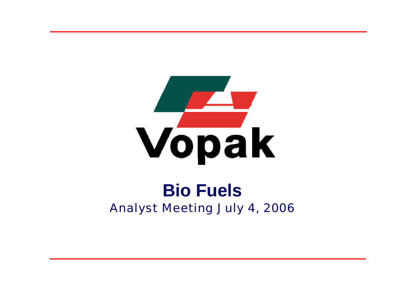

# **Bio Fuels**Analyst Meeting July 4, 2006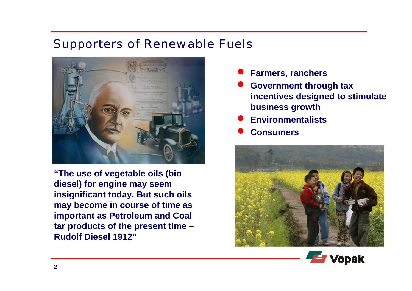#### Supporters of Renewable Fuels



**"The use of vegetable oils (bio diesel) for engine may seem insignificant today. But such oils may become in course of time as important as Petroleum and Coal tar products of the present time – Rudolf Diesel 1912"**

- $\bullet$ **Farmers, ranchers**
- $\bullet$  **Government through tax incentives designed to stimulate business growth**
- $\bullet$ **Environmentalists**
- $\bullet$ **Consumers**



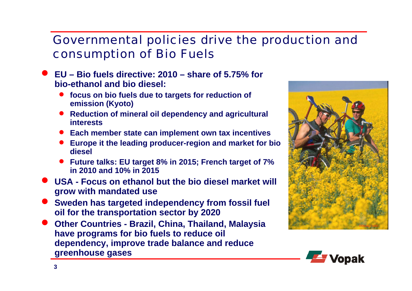#### Governmental policies drive the production and consumption of Bio Fuels

- $\bullet$  **EU – Bio fuels directive: 2010 – share of 5.75% for bio-ethanol and bio diesel:**
	- $\bullet$  **focus on bio fuels due to targets for reduction of emission (Kyoto)**
	- $\bullet$  **Reduction of mineral oil dependency and agricultural interests**
	- **Each member state can implement own tax incentives**
	- **Europe it the leading producer-region and market for bio diesel**
	- **Future talks: EU target 8% in 2015; French target of 7% in 2010 and 10% in 2015**
- $\bullet$  **USA - Focus on ethanol but the bio diesel market will grow with mandated use**
- $\bullet$  **Sweden has targeted independency from fossil fuel oil for the transportation sector by 2020**
- $\bullet$  **Other Countries - Brazil, China, Thailand, Malaysia have programs for bio fuels to reduce oil dependency, improve trade balance and reduce greenhouse gases**



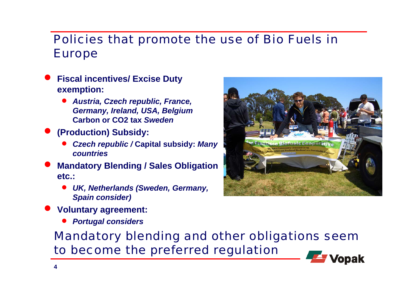#### Policies that promote the use of Bio Fuels in Europe

- $\bullet$  **Fiscal incentives/ Excise Duty exemption:** 
	- *Austria, Czech republic, France, Germany, Ireland, USA, Belgium*  **Carbon or CO2 tax** *Sweden*
- $\bullet$  **(Production) Subsidy:** 
	- • *Czech republic /* **Capital subsidy:** *Many countries*
- $\bullet$  **Mandatory Blending / Sales Obligation etc.:** 
	- • *UK, Netherlands (Sweden, Germany, Spain consider)*



- $\bullet$  **Voluntary agreement:** 
	- $\bullet$ *Portugal considers*

Mandatory blending and other obligations seem to become the preferred regulation

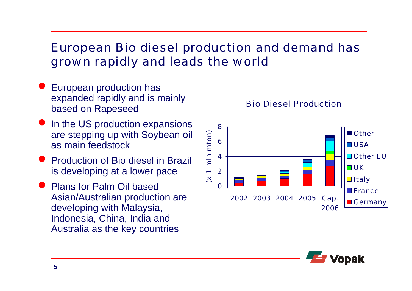### European Bio diesel production and demand has grown rapidly and leads the world

- $\bullet$  European production has expanded rapidly and is mainly based on Rapeseed
- $\bullet$ In the US production expansions are stepping up with Soybean oil as main feedstock
- Production of Bio diesel in Brazil is developing at a lower pace
- Plans for Palm Oil based Asian/Australian production are developing with Malaysia, Indonesia, China, India and Australia as the key countries





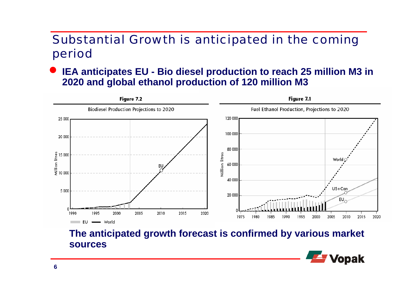### Substantial Growth is anticipated in the coming period

 $\bullet$  **IEA anticipates EU - Bio diesel production to reach 25 million M3 in 2020 and global ethanol production of 120 million M3**



**The anticipated growth forecast is confirmed by various market sources** 

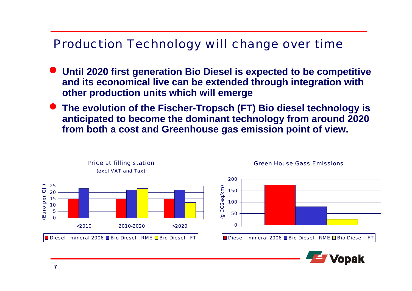### Production Technology will change over time

- **Until 2020 first generation Bio Diesel is expected to be competitive and its economical live can be extended through integration with other production units which will emerge**
- $\bullet$  **The evolution of the Fischer-Tropsch (FT) Bio diesel technology is anticipated to become the dominant technology from around 2020 from both a cost and Greenhouse gas emission point of view.**



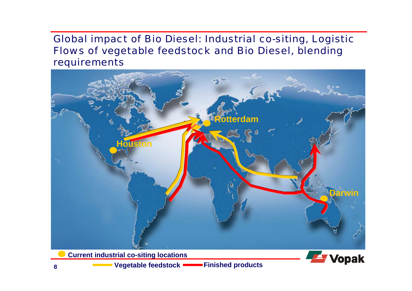#### Global impact of Bio Diesel: Industrial co-siting, Logistic Flows of vegetable feedstock and Bio Diesel, blending requirements



**Current industrial co-siting locations**



**Vegetable feedstock <b>Finished products**